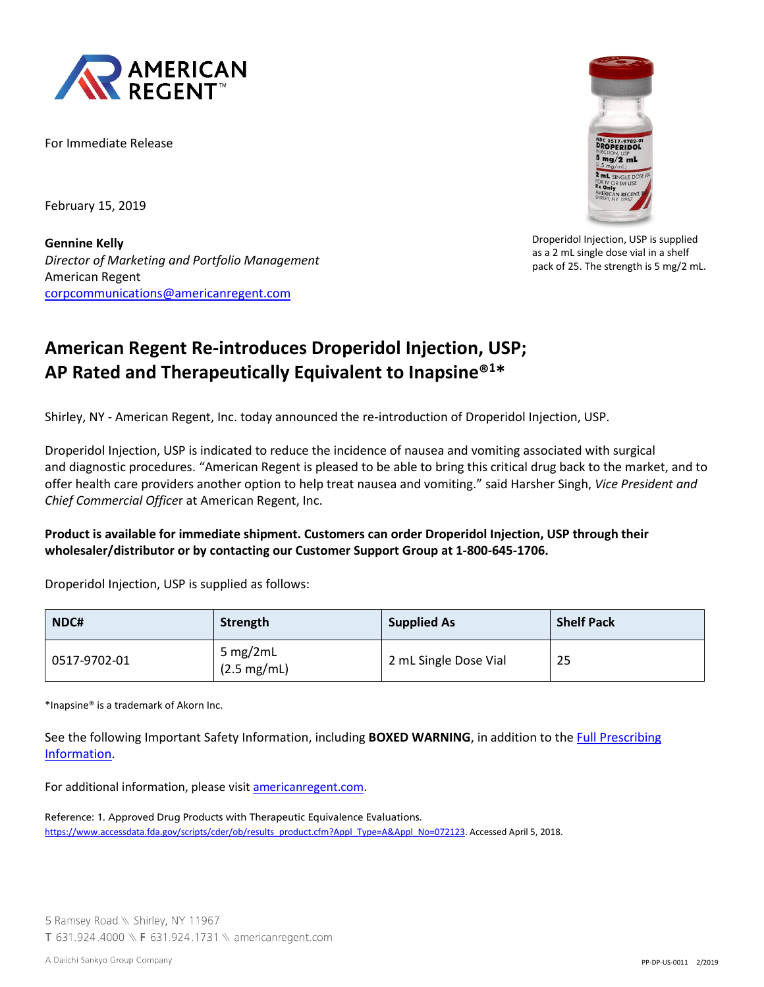

For Immediate Release

February 15, 2019

**Gennine Kelly** *Director of Marketing and Portfolio Management* American Regent [corpcommunications@americanregent.com](mailto:corpcommunications@americanregent.com)



Droperidol Injection, USP is supplied as a 2 mL single dose vial in a shelf pack of 25. The strength is 5 mg/2 mL.

# **American Regent Re-introduces Droperidol Injection, USP; AP Rated and Therapeutically Equivalent to Inapsine®1\***

Shirley, NY - American Regent, Inc. today announced the re-introduction of Droperidol Injection, USP.

Droperidol Injection, USP is indicated to reduce the incidence of nausea and vomiting associated with surgical and diagnostic procedures. "American Regent is pleased to be able to bring this critical drug back to the market, and to offer health care providers another option to help treat nausea and vomiting." said Harsher Singh, *Vice President and Chief Commercial Office*r at American Regent, Inc.

# **Product is available for immediate shipment. Customers can order Droperidol Injection, USP through their wholesaler/distributor or by contacting our Customer Support Group at 1-800-645-1706.**

Droperidol Injection, USP is supplied as follows:

| NDC#         | Strength                          | <b>Supplied As</b>    | <b>Shelf Pack</b> |
|--------------|-----------------------------------|-----------------------|-------------------|
| 0517-9702-01 | 5 mg/2mL<br>$(2.5 \text{ mg/mL})$ | 2 mL Single Dose Vial | 25                |

\*Inapsine® is a trademark of Akorn Inc.

See the following Important Safety Information, including **BOXED WARNING**, in addition to the [Full Prescribing](https://www.americanregent.com/media/1574/droperidol_prescribing-information.pdf)  [Information.](https://www.americanregent.com/media/1574/droperidol_prescribing-information.pdf)

For additional information, please visit **americanregent.com**.

Reference: 1. Approved Drug Products with Therapeutic Equivalence Evaluations. [https://www.accessdata.fda.gov/scripts/cder/ob/results\\_product.cfm?Appl\\_Type=A&Appl\\_No=072123.](https://www.accessdata.fda.gov/scripts/cder/ob/results_product.cfm?Appl_Type=A&Appl_No=072123) Accessed April 5, 2018.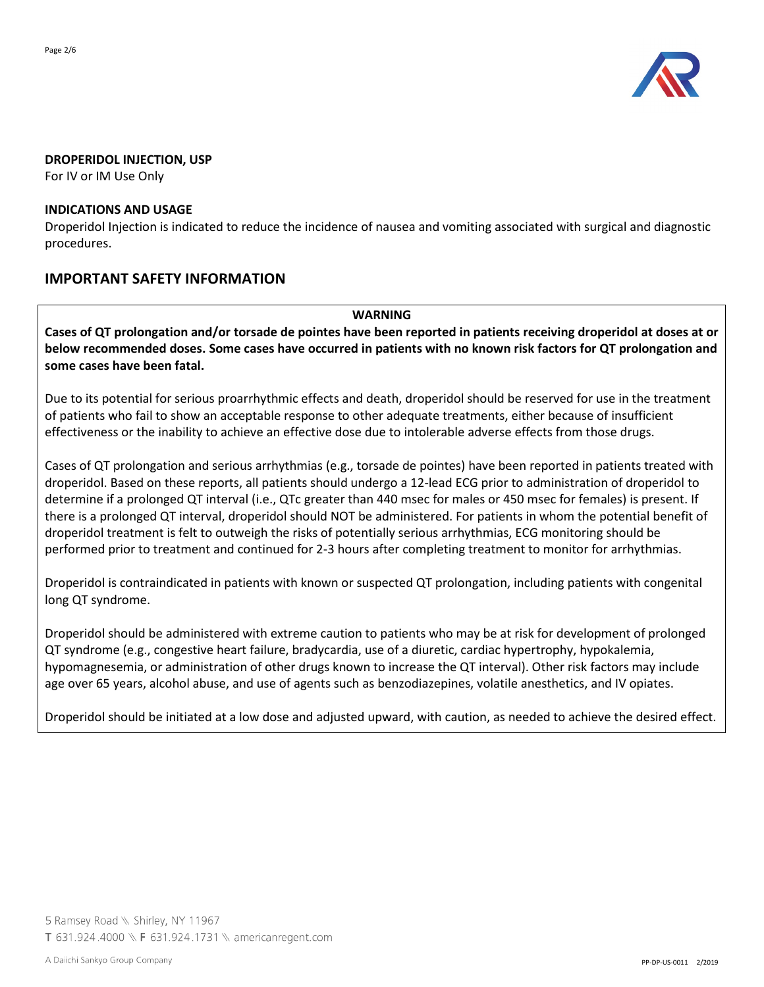

#### **DROPERIDOL INJECTION, USP**

For IV or IM Use Only

#### **INDICATIONS AND USAGE**

Droperidol Injection is indicated to reduce the incidence of nausea and vomiting associated with surgical and diagnostic procedures.

# **IMPORTANT SAFETY INFORMATION**

#### **WARNING**

**Cases of QT prolongation and/or torsade de pointes have been reported in patients receiving droperidol at doses at or below recommended doses. Some cases have occurred in patients with no known risk factors for QT prolongation and some cases have been fatal.**

Due to its potential for serious proarrhythmic effects and death, droperidol should be reserved for use in the treatment of patients who fail to show an acceptable response to other adequate treatments, either because of insufficient effectiveness or the inability to achieve an effective dose due to intolerable adverse effects from those drugs.

Cases of QT prolongation and serious arrhythmias (e.g., torsade de pointes) have been reported in patients treated with droperidol. Based on these reports, all patients should undergo a 12-lead ECG prior to administration of droperidol to determine if a prolonged QT interval (i.e., QTc greater than 440 msec for males or 450 msec for females) is present. If there is a prolonged QT interval, droperidol should NOT be administered. For patients in whom the potential benefit of droperidol treatment is felt to outweigh the risks of potentially serious arrhythmias, ECG monitoring should be performed prior to treatment and continued for 2-3 hours after completing treatment to monitor for arrhythmias.

Droperidol is contraindicated in patients with known or suspected QT prolongation, including patients with congenital long QT syndrome.

Droperidol should be administered with extreme caution to patients who may be at risk for development of prolonged QT syndrome (e.g., congestive heart failure, bradycardia, use of a diuretic, cardiac hypertrophy, hypokalemia, hypomagnesemia, or administration of other drugs known to increase the QT interval). Other risk factors may include age over 65 years, alcohol abuse, and use of agents such as benzodiazepines, volatile anesthetics, and IV opiates.

Droperidol should be initiated at a low dose and adjusted upward, with caution, as needed to achieve the desired effect.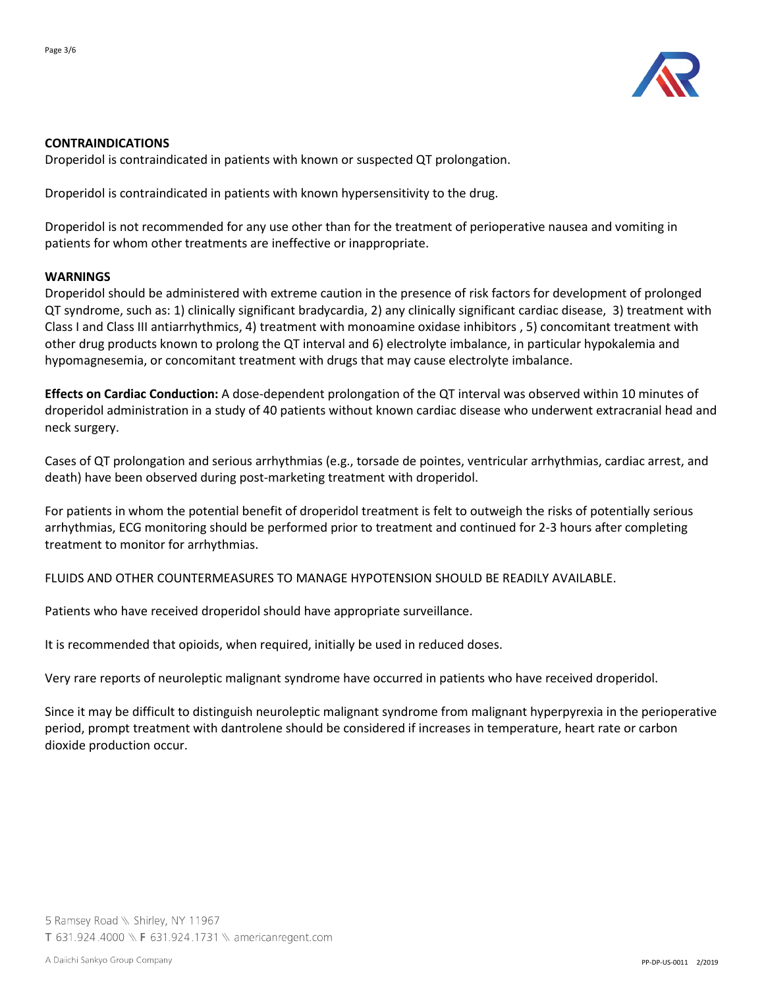

#### **CONTRAINDICATIONS**

Droperidol is contraindicated in patients with known or suspected QT prolongation.

Droperidol is contraindicated in patients with known hypersensitivity to the drug.

Droperidol is not recommended for any use other than for the treatment of perioperative nausea and vomiting in patients for whom other treatments are ineffective or inappropriate.

#### **WARNINGS**

Droperidol should be administered with extreme caution in the presence of risk factors for development of prolonged QT syndrome, such as: 1) clinically significant bradycardia, 2) any clinically significant cardiac disease, 3) treatment with Class I and Class III antiarrhythmics, 4) treatment with monoamine oxidase inhibitors , 5) concomitant treatment with other drug products known to prolong the QT interval and 6) electrolyte imbalance, in particular hypokalemia and hypomagnesemia, or concomitant treatment with drugs that may cause electrolyte imbalance.

**Effects on Cardiac Conduction:** A dose-dependent prolongation of the QT interval was observed within 10 minutes of droperidol administration in a study of 40 patients without known cardiac disease who underwent extracranial head and neck surgery.

Cases of QT prolongation and serious arrhythmias (e.g., torsade de pointes, ventricular arrhythmias, cardiac arrest, and death) have been observed during post-marketing treatment with droperidol.

For patients in whom the potential benefit of droperidol treatment is felt to outweigh the risks of potentially serious arrhythmias, ECG monitoring should be performed prior to treatment and continued for 2-3 hours after completing treatment to monitor for arrhythmias.

FLUIDS AND OTHER COUNTERMEASURES TO MANAGE HYPOTENSION SHOULD BE READILY AVAILABLE.

Patients who have received droperidol should have appropriate surveillance.

It is recommended that opioids, when required, initially be used in reduced doses.

Very rare reports of neuroleptic malignant syndrome have occurred in patients who have received droperidol.

Since it may be difficult to distinguish neuroleptic malignant syndrome from malignant hyperpyrexia in the perioperative period, prompt treatment with dantrolene should be considered if increases in temperature, heart rate or carbon dioxide production occur.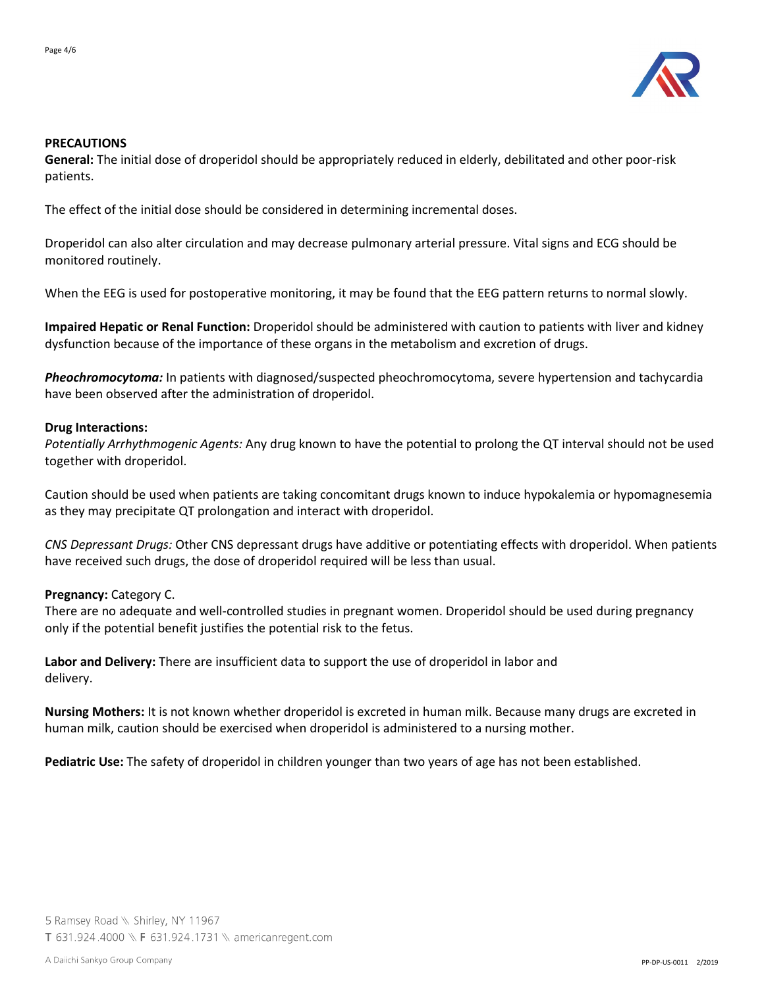

#### **PRECAUTIONS**

**General:** The initial dose of droperidol should be appropriately reduced in elderly, debilitated and other poor-risk patients.

The effect of the initial dose should be considered in determining incremental doses.

Droperidol can also alter circulation and may decrease pulmonary arterial pressure. Vital signs and ECG should be monitored routinely.

When the EEG is used for postoperative monitoring, it may be found that the EEG pattern returns to normal slowly.

**Impaired Hepatic or Renal Function:** Droperidol should be administered with caution to patients with liver and kidney dysfunction because of the importance of these organs in the metabolism and excretion of drugs.

*Pheochromocytoma:* In patients with diagnosed/suspected pheochromocytoma, severe hypertension and tachycardia have been observed after the administration of droperidol.

#### **Drug Interactions:**

*Potentially Arrhythmogenic Agents:* Any drug known to have the potential to prolong the QT interval should not be used together with droperidol.

Caution should be used when patients are taking concomitant drugs known to induce hypokalemia or hypomagnesemia as they may precipitate QT prolongation and interact with droperidol.

*CNS Depressant Drugs:* Other CNS depressant drugs have additive or potentiating effects with droperidol. When patients have received such drugs, the dose of droperidol required will be less than usual.

#### Pregnancy: Category C.

There are no adequate and well-controlled studies in pregnant women. Droperidol should be used during pregnancy only if the potential benefit justifies the potential risk to the fetus.

**Labor and Delivery:** There are insufficient data to support the use of droperidol in labor and delivery.

**Nursing Mothers:** It is not known whether droperidol is excreted in human milk. Because many drugs are excreted in human milk, caution should be exercised when droperidol is administered to a nursing mother.

**Pediatric Use:** The safety of droperidol in children younger than two years of age has not been established.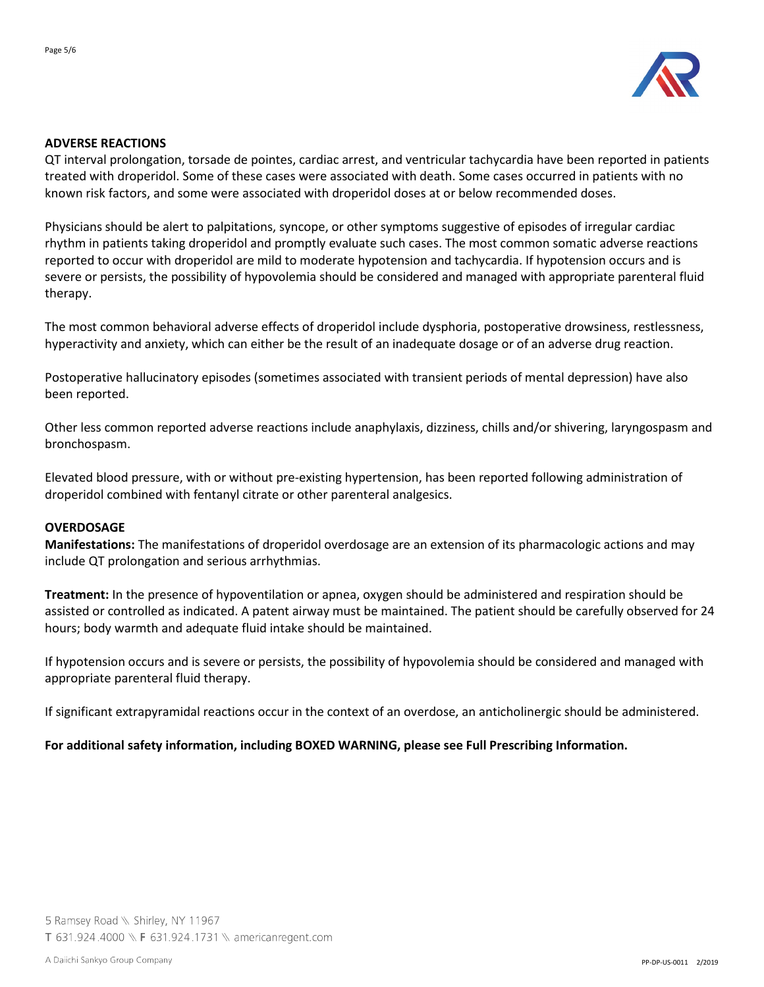

#### **ADVERSE REACTIONS**

QT interval prolongation, torsade de pointes, cardiac arrest, and ventricular tachycardia have been reported in patients treated with droperidol. Some of these cases were associated with death. Some cases occurred in patients with no known risk factors, and some were associated with droperidol doses at or below recommended doses.

Physicians should be alert to palpitations, syncope, or other symptoms suggestive of episodes of irregular cardiac rhythm in patients taking droperidol and promptly evaluate such cases. The most common somatic adverse reactions reported to occur with droperidol are mild to moderate hypotension and tachycardia. If hypotension occurs and is severe or persists, the possibility of hypovolemia should be considered and managed with appropriate parenteral fluid therapy.

The most common behavioral adverse effects of droperidol include dysphoria, postoperative drowsiness, restlessness, hyperactivity and anxiety, which can either be the result of an inadequate dosage or of an adverse drug reaction.

Postoperative hallucinatory episodes (sometimes associated with transient periods of mental depression) have also been reported.

Other less common reported adverse reactions include anaphylaxis, dizziness, chills and/or shivering, laryngospasm and bronchospasm.

Elevated blood pressure, with or without pre-existing hypertension, has been reported following administration of droperidol combined with fentanyl citrate or other parenteral analgesics.

#### **OVERDOSAGE**

**Manifestations:** The manifestations of droperidol overdosage are an extension of its pharmacologic actions and may include QT prolongation and serious arrhythmias.

**Treatment:** In the presence of hypoventilation or apnea, oxygen should be administered and respiration should be assisted or controlled as indicated. A patent airway must be maintained. The patient should be carefully observed for 24 hours; body warmth and adequate fluid intake should be maintained.

If hypotension occurs and is severe or persists, the possibility of hypovolemia should be considered and managed with appropriate parenteral fluid therapy.

If significant extrapyramidal reactions occur in the context of an overdose, an anticholinergic should be administered.

#### **For additional safety information, including BOXED WARNING, please see Full Prescribing Information.**